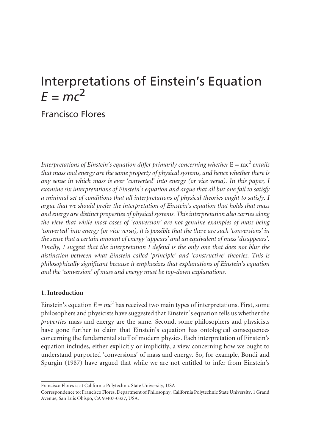# Interpretations of Einstein's Equation  $F = mc^2$

# Francisco Flores

*Interpretations of Einstein's equation differ primarily concerning whether*  $E = mc^2$  *entails that mass and energy are the same property of physical systems, and hence whether there is any sense in which mass is ever 'converted' into energy (or vice versa). In this paper, I examine six interpretations of Einstein's equation and argue that all but one fail to satisfy a minimal set of conditions that all interpretations of physical theories ought to satisfy. I argue that we should prefer the interpretation of Einstein's equation that holds that mass and energy are distinct properties of physical systems. This interpretation also carries along the view that while most cases of 'conversion' are not genuine examples of mass being 'converted' into energy (or vice versa), it is possible that the there are such 'conversions' in the sense that a certain amount of energy 'appears' and an equivalent of mass 'disappears'. Finally, I suggest that the interpretation I defend is the only one that does not blur the distinction between what Einstein called 'principle' and 'constructive' theories. This is philosophically significant because it emphasizes that explanations of Einstein's equation and the 'conversion' of mass and energy must be top-down explanations.* 

# **1. Introduction**

Einstein's equation  $E = mc^2$  has received two main types of interpretations. First, some philosophers and physicists have suggested that Einstein's equation tells us whether the *properties* mass and energy are the same. Second, some philosophers and physicists have gone further to claim that Einstein's equation has ontological consequences concerning the fundamental stuff of modern physics. Each interpretation of Einstein's equation includes, either explicitly or implicitly, a view concerning how we ought to understand purported 'conversions' of mass and energy. So, for example, Bondi and Spurgin (1987) have argued that while we are not entitled to infer from Einstein's

Francisco Flores is at California Polytechnic State University, USA

Correspondence to: Francisco Flores, Department of Philosophy, California Polytechnic State University, 1 Grand Avenue, San Luis Obispo, CA 93407-0327, USA.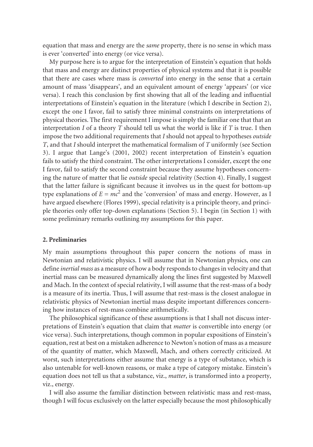equation that mass and energy are the *same* property, there is no sense in which mass is ever 'converted' into energy (or vice versa).

My purpose here is to argue for the interpretation of Einstein's equation that holds that mass and energy are distinct properties of physical systems and that it is possible that there are cases where mass is *converted* into energy in the sense that a certain amount of mass 'disappears', and an equivalent amount of energy 'appears' (or vice versa). I reach this conclusion by first showing that all of the leading and influential interpretations of Einstein's equation in the literature (which I describe in Section 2), except the one I favor, fail to satisfy three minimal constraints on interpretations of physical theories. The first requirement I impose is simply the familiar one that that an interpretation *I* of a theory *T* should tell us what the world is like if *T* is true. I then impose the two additional requirements that *I* should not appeal to hypotheses *outside T*, and that *I* should interpret the mathematical formalism of *T* uniformly (see Section 3). I argue that Lange's (2001, 2002) recent interpretation of Einstein's equation fails to satisfy the third constraint. The other interpretations I consider, except the one I favor, fail to satisfy the second constraint because they assume hypotheses concerning the nature of matter that lie *outside* special relativity (Section 4). Finally, I suggest that the latter failure is significant because it involves us in the quest for bottom-up type explanations of  $E = mc^2$  and the 'conversion' of mass and energy. However, as I have argued elsewhere (Flores 1999), special relativity is a principle theory, and principle theories only offer top-down explanations (Section 5). I begin (in Section 1) with some preliminary remarks outlining my assumptions for this paper.

#### **2. Preliminaries**

My main assumptions throughout this paper concern the notions of mass in Newtonian and relativistic physics. I will assume that in Newtonian physics, one can define *inertial mass* as a measure of how a body responds to changes in velocity and that inertial mass can be measured dynamically along the lines first suggested by Maxwell and Mach. In the context of special relativity, I will assume that the rest-mass of a body is a measure of its inertia. Thus, I will assume that rest-mass is the closest analogue in relativistic physics of Newtonian inertial mass despite important differences concerning how instances of rest-mass combine arithmetically.

The philosophical significance of these assumptions is that I shall not discuss interpretations of Einstein's equation that claim that *matter* is convertible into energy (or vice versa). Such interpretations, though common in popular expositions of Einstein's equation, rest at best on a mistaken adherence to Newton's notion of mass as a measure of the quantity of matter, which Maxwell, Mach, and others correctly criticized. At worst, such interpretations either assume that energy is a type of substance, which is also untenable for well-known reasons, or make a type of category mistake. Einstein's equation does not tell us that a substance, viz., *matter*, is transformed into a property, viz., energy.

I will also assume the familiar distinction between relativistic mass and rest-mass, though I will focus exclusively on the latter especially because the most philosophically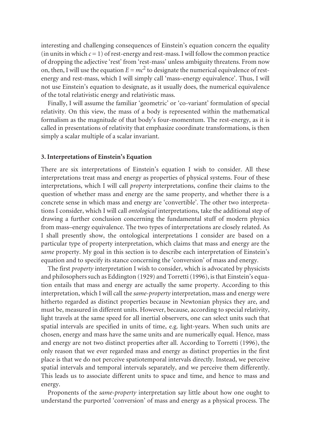interesting and challenging consequences of Einstein's equation concern the equality  $(in units in which  $c = 1$ ) of rest-energy and rest-mass. I will follow the common practice$ of dropping the adjective 'rest' from 'rest-mass' unless ambiguity threatens. From now on, then, I will use the equation  $E = mc^2$  to designate the numerical equivalence of restenergy and rest-mass, which I will simply call 'mass–energy equivalence'. Thus, I will not use Einstein's equation to designate, as it usually does, the numerical equivalence of the total relativistic energy and relativistic mass.

Finally, I will assume the familiar 'geometric' or 'co-variant' formulation of special relativity. On this view, the mass of a body is represented within the mathematical formalism as the magnitude of that body's four-momentum. The rest-energy, as it is called in presentations of relativity that emphasize coordinate transformations, is then simply a scalar multiple of a scalar invariant.

#### **3. Interpretations of Einstein's Equation**

There are six interpretations of Einstein's equation I wish to consider. All these interpretations treat mass and energy as properties of physical systems. Four of these interpretations, which I will call *property* interpretations, confine their claims to the question of whether mass and energy are the same property, and whether there is a concrete sense in which mass and energy are 'convertible'. The other two interpretations I consider, which I will call *ontological* interpretations, take the additional step of drawing a further conclusion concerning the fundamental stuff of modern physics from mass–energy equivalence. The two types of interpretations are closely related. As I shall presently show, the ontological interpretations I consider are based on a particular type of property interpretation, which claims that mass and energy are the *same* property. My goal in this section is to describe each interpretation of Einstein's equation and to specify its stance concerning the 'conversion' of mass and energy.

The first *property* interpretation I wish to consider, which is advocated by physicists and philosophers such as Eddington (1929) and Torretti (1996), is that Einstein's equation entails that mass and energy are actually the same property. According to this interpretation, which I will call the *same-property* interpretation, mass and energy were hitherto regarded as distinct properties because in Newtonian physics they are, and must be, measured in different units. However, because, according to special relativity, light travels at the same speed for all inertial observers, one can select units such that spatial intervals are specified in units of time, e.g. light-years. When such units are chosen, energy and mass have the same units and are numerically equal. Hence, mass and energy are not two distinct properties after all. According to Torretti (1996), the only reason that we ever regarded mass and energy as distinct properties in the first place is that we do not perceive spatiotemporal intervals directly. Instead, we perceive spatial intervals and temporal intervals separately, and we perceive them differently. This leads us to associate different units to space and time, and hence to mass and energy.

Proponents of the *same-property* interpretation say little about how one ought to understand the purported 'conversion' of mass and energy as a physical process. The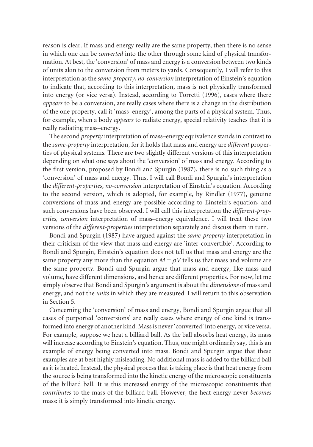reason is clear. If mass and energy really are the same property, then there is no sense in which one can be *converted* into the other through some kind of physical transformation. At best, the 'conversion' of mass and energy is a conversion between two kinds of units akin to the conversion from meters to yards. Consequently, I will refer to this interpretation as the *same-property*, *no-conversion* interpretation of Einstein's equation to indicate that, according to this interpretation, mass is not physically transformed into energy (or vice versa). Instead, according to Torretti (1996), cases where there *appears* to be a conversion, are really cases where there is a change in the distribution of the one property, call it 'mass–energy', among the parts of a physical system. Thus, for example, when a body *appears* to radiate energy, special relativity teaches that it is really radiating mass–energy.

The second *property* interpretation of mass–energy equivalence stands in contrast to the *same-property* interpretation, for it holds that mass and energy are *different* properties of physical systems. There are two slightly different versions of this interpretation depending on what one says about the 'conversion' of mass and energy. According to the first version, proposed by Bondi and Spurgin (1987), there is no such thing as a 'conversion' of mass and energy. Thus, I will call Bondi and Spurgin's interpretation the *different-properties*, *no-conversion* interpretation of Einstein's equation. According to the second version, which is adopted, for example, by Rindler (1977), genuine conversions of mass and energy are possible according to Einstein's equation, and such conversions have been observed. I will call this interpretation the *different-properties, conversion* interpretation of mass–energy equivalence. I will treat these two versions of the *different-properties* interpretation separately and discuss them in turn.

same property any more than the equation  $M = \rho V$  tells us that mass and volume are Bondi and Spurgin (1987) have argued against the *same-property* interpretation in their criticism of the view that mass and energy are 'inter-convertible'. According to Bondi and Spurgin, Einstein's equation does not tell us that mass and energy are the the same property. Bondi and Spurgin argue that mass and energy, like mass and volume, have different dimensions, and hence are different properties. For now, let me simply observe that Bondi and Spurgin's argument is about the *dimensions* of mass and energy, and not the *units* in which they are measured. I will return to this observation in Section 5.

Concerning the 'conversion' of mass and energy, Bondi and Spurgin argue that all cases of purported 'conversions' are really cases where energy of one kind is transformed into energy of another kind. Mass is never 'converted' into energy, or vice versa. For example, suppose we heat a billiard ball. As the ball absorbs heat energy, its mass will increase according to Einstein's equation. Thus, one might ordinarily say, this is an example of energy being converted into mass. Bondi and Spurgin argue that these examples are at best highly misleading. No additional mass is added to the billiard ball as it is heated. Instead, the physical process that is taking place is that heat energy from the source is being transformed into the kinetic energy of the microscopic constituents of the billiard ball. It is this increased energy of the microscopic constituents that *contributes* to the mass of the billiard ball. However, the heat energy never *becomes*  mass: it is simply transformed into kinetic energy.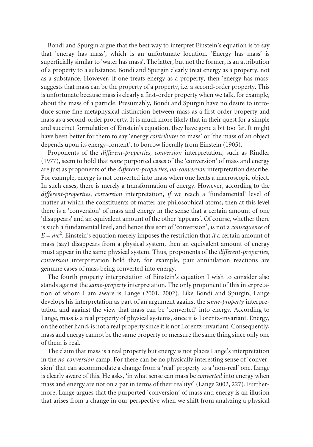Bondi and Spurgin argue that the best way to interpret Einstein's equation is to say that 'energy has mass', which is an unfortunate locution. 'Energy has mass' is superficially similar to 'water has mass'. The latter, but not the former, is an attribution of a property to a substance. Bondi and Spurgin clearly treat energy as a property, not as a substance. However, if one treats energy as a property, then 'energy has mass' suggests that mass can be the property of a property, i.e. a second-order property. This is unfortunate because mass is clearly a first-order property when we talk, for example, about the mass of a particle. Presumably, Bondi and Spurgin have no desire to introduce some fine metaphysical distinction between mass as a first-order property and mass as a second-order property. It is much more likely that in their quest for a simple and succinct formulation of Einstein's equation, they have gone a bit too far. It might have been better for them to say 'energy *contributes* to mass' or 'the mass of an object depends upon its energy-content', to borrow liberally from Einstein (1905).

Proponents of the *different-properties, conversion* interpretation, such as Rindler (1977), seem to hold that *some* purported cases of the 'conversion' of mass and energy are just as proponents of the *different-properties, no-conversion* interpretation describe. For example, energy is not converted into mass when one heats a macroscopic object. In such cases, there is merely a transformation of energy. However, according to the *different-properties*, *conversion* interpretation, *if* we reach a 'fundamental' level of matter at which the constituents of matter are philosophical atoms, then at this level there is a 'conversion' of mass and energy in the sense that a certain amount of one 'disappears' and an equivalent amount of the other 'appears'. Of course, whether there is such a fundamental level, and hence this sort of 'conversion', is not a *consequence* of  $E = mc^2$ . Einstein's equation merely imposes the restriction that *if* a certain amount of mass (say) disappears from a physical system, then an equivalent amount of energy must appear in the same physical system. Thus, proponents of the *different-properties*, *conversion* interpretation hold that, for example, pair annihilation reactions are genuine cases of mass being converted into energy.

The fourth property interpretation of Einstein's equation I wish to consider also stands against the *same-property* interpretation. The only proponent of this interpretation of whom I am aware is Lange (2001, 2002). Like Bondi and Spurgin, Lange develops his interpretation as part of an argument against the *same-property* interpretation and against the view that mass can be 'converted' into energy. According to Lange, mass is a real property of physical systems, since it is Lorentz-invariant. Energy, on the other hand, is not a real property since it is not Lorentz-invariant. Consequently, mass and energy cannot be the same property or measure the same thing since only one of them is real.

The claim that mass is a real property but energy is not places Lange's interpretation in the *no-conversion* camp. For there can be no physically interesting sense of 'conversion' that can accommodate a change from a 'real' property to a 'non-real' one. Lange is clearly aware of this. He asks, 'in what sense can mass be *converted* into energy when mass and energy are not on a par in terms of their reality?' (Lange 2002, 227). Furthermore, Lange argues that the purported 'conversion' of mass and energy is an illusion that arises from a change in our perspective when we shift from analyzing a physical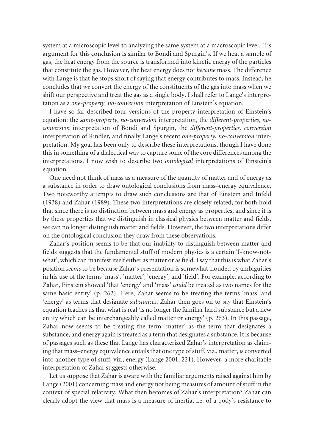system at a microscopic level to analyzing the same system at a macroscopic level. His argument for this conclusion is similar to Bondi and Spurgin's. If we heat a sample of gas, the heat energy from the source is transformed into kinetic energy of the particles that constitute the gas. However, the heat energy does not *become* mass. The difference with Lange is that he stops short of saying that energy contributes to mass. Instead, he concludes that *we* convert the energy of the constituents of the gas into mass when we shift our perspective and treat the gas as a single body. I shall refer to Lange's interpretation as a *one-property, no-conversion* interpretation of Einstein's equation.

I have so far described four versions of the property interpretation of Einstein's equation: the *same-property*, *no-conversion* interpretation, the *different-properties*, *noconversion* interpretation of Bondi and Spurgin, the *different-properties, conversion*  interpretation of Rindler, and finally Lange's recent *one-property*, *no-conversion* interpretation. My goal has been only to describe these interpretations, though I have done this in something of a dialectical way to capture some of the core differences among the interpretations. I now wish to describe two *ontological* interpretations of Einstein's equation.

One need not think of mass as a measure of the quantity of matter and of energy as a substance in order to draw ontological conclusions from mass–energy equivalence. Two noteworthy attempts to draw such conclusions are that of Einstein and Infeld (1938) and Zahar (1989). These two interpretations are closely related, for both hold that since there is no distinction between mass and energy as properties, and since it is by these properties that we distinguish in classical physics between matter and fields, we can no longer distinguish matter and fields. However, the two interpretations differ on the ontological conclusion they draw from these observations.

Zahar's position seems to be that our inability to distinguish between matter and fields suggests that the fundamental stuff of modern physics is a certain 'I-know-notwhat', which can manifest itself either as matter or as field. I say that this is what Zahar's position *seems* to be because Zahar's presentation is somewhat clouded by ambiguities in his use of the terms 'mass', 'matter', 'energy', and 'field'. For example, according to Zahar, Einstein showed 'that 'energy' and 'mass' *could* be treated as two names for the same basic entity' (p. 262). Here, Zahar seems to be treating the terms 'mass' and 'energy' as terms that designate *substances*. Zahar then goes on to say that Einstein's equation teaches us that what is real 'is no longer the familiar hard substance but a new entity which can be interchangeably called matter or energy' (p. 263). In this passage, Zahar now seems to be treating the term 'matter' as the term that designates a substance, and energy again is treated as a term that designates a substance. It is because of passages such as these that Lange has characterized Zahar's interpretation as claiming that mass–energy equivalence entails that one type of stuff, viz., matter, is converted into another type of stuff, viz., energy (Lange 2001, 221). However, a more charitable interpretation of Zahar suggests otherwise.

Let us suppose that Zahar is aware with the familiar arguments raised against him by Lange (2001) concerning mass and energy not being measures of amount of stuff in the context of special relativity. What then becomes of Zahar's interpretation? Zahar can clearly adopt the view that mass is a measure of inertia, i.e. of a body's resistance to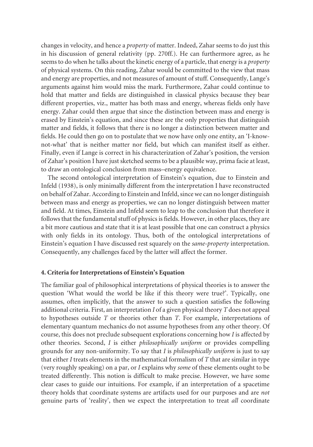changes in velocity, and hence a *property* of matter. Indeed, Zahar seems to do just this in his discussion of general relativity (pp. 270ff.). He can furthermore agree, as he seems to do when he talks about the kinetic energy of a particle, that energy is a *property*  of physical systems. On this reading, Zahar would be committed to the view that mass and energy are properties, and not measures of amount of stuff. Consequently, Lange's arguments against him would miss the mark. Furthermore, Zahar could continue to hold that matter and fields are distinguished in classical physics because they bear different properties, viz., matter has both mass and energy, whereas fields only have energy. Zahar could then argue that since the distinction between mass and energy is erased by Einstein's equation, and since these are the only properties that distinguish matter and fields, it follows that there is no longer a distinction between matter and fields. He could then go on to postulate that we now have only one entity, an 'I-knownot-what' that is neither matter nor field, but which can manifest itself as either. Finally, even if Lange is correct in his characterization of Zahar's position, the version of Zahar's position I have just sketched seems to be a plausible way, prima facie at least, to draw an ontological conclusion from mass–energy equivalence.

The second ontological interpretation of Einstein's equation, due to Einstein and Infeld (1938), is only minimally different from the interpretation I have reconstructed on behalf of Zahar. According to Einstein and Infeld, since we can no longer distinguish between mass and energy as properties, we can no longer distinguish between matter and field. At times, Einstein and Infeld seem to leap to the conclusion that therefore it follows that the fundamental stuff of physics is fields. However, in other places, they are a bit more cautious and state that it is at least possible that one can construct a physics with only fields in its ontology. Thus, both of the ontological interpretations of Einstein's equation I have discussed rest squarely on the *same-property* interpretation. Consequently, any challenges faced by the latter will affect the former.

#### **4. Criteria for Interpretations of Einstein's Equation**

The familiar goal of philosophical interpretations of physical theories is to answer the question 'What would the world be like if this theory were true?'. Typically, one assumes, often implicitly, that the answer to such a question satisfies the following additional criteria. First, an interpretation *I* of a given physical theory *T* does not appeal to hypotheses outside *T* or theories other than *T*. For example, interpretations of elementary quantum mechanics do not assume hypotheses from any other theory. Of course, this does not preclude subsequent explorations concerning how *I* is affected by other theories. Second, *I* is either *philosophically uniform* or provides compelling grounds for any non-uniformity. To say that *I* is *philosophically uniform* is just to say that either *I* treats elements in the mathematical formalism of *T* that are similar in type (very roughly speaking) on a par, or *I* explains why *some* of these elements ought to be treated differently. This notion is difficult to make precise. However, we have some clear cases to guide our intuitions. For example, if an interpretation of a spacetime theory holds that coordinate systems are artifacts used for our purposes and are *not*  genuine parts of 'reality', then we expect the interpretation to treat *all* coordinate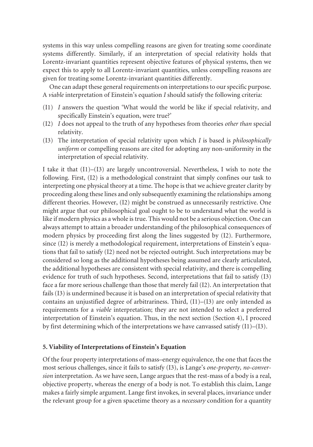systems in this way unless compelling reasons are given for treating some coordinate systems differently. Similarly, if an interpretation of special relativity holds that Lorentz-invariant quantities represent objective features of physical systems, then we expect this to apply to all Lorentz-invariant quantities, unless compelling reasons are given for treating some Lorentz-invariant quantities differently.

One can adapt these general requirements on interpretations to our specific purpose. A *viable* interpretation of Einstein's equation *I* should satisfy the following criteria:

- (I1) *I* answers the question 'What would the world be like if special relativity, and specifically Einstein's equation, were true?'
- (I2) *I* does not appeal to the truth of any hypotheses from theories *other than* special relativity.
- (I3) The interpretation of special relativity upon which *I* is based is *philosophically uniform* or compelling reasons are cited for adopting any non-uniformity in the interpretation of special relativity.

I take it that (I1)–(I3) are largely uncontroversial. Nevertheless, I wish to note the following. First, (I2) is a methodological constraint that simply confines our task to interpreting one physical theory at a time. The hope is that we achieve greater clarity by proceeding along these lines and only subsequently examining the relationships among different theories. However, (I2) might be construed as unnecessarily restrictive. One might argue that our philosophical goal ought to be to understand what the world is like if modern physics as a whole is true. This would not be a serious objection. One can always attempt to attain a broader understanding of the philosophical consequences of modern physics by proceeding first along the lines suggested by (I2). Furthermore, since (I2) is merely a methodological requirement, interpretations of Einstein's equations that fail to satisfy (I2) need not be rejected outright. Such interpretations may be considered so long as the additional hypotheses being assumed are clearly articulated, the additional hypotheses are consistent with special relativity, and there is compelling evidence for truth of such hypotheses. Second, interpretations that fail to satisfy (I3) face a far more serious challenge than those that merely fail (I2). An interpretation that fails (I3) is undermined because it is based on an interpretation of special relativity that contains an unjustified degree of arbitrariness. Third, (I1)–(I3) are only intended as requirements for a *viable* interpretation; they are not intended to select a preferred interpretation of Einstein's equation. Thus, in the next section (Section 4), I proceed by first determining which of the interpretations we have canvassed satisfy  $(11)$ – $(13)$ .

### **5. Viability of Interpretations of Einstein's Equation**

Of the four property interpretations of mass–energy equivalence, the one that faces the most serious challenges, since it fails to satisfy (I3), is Lange's *one-property, no-conversion* interpretation. As we have seen, Lange argues that the rest-mass of a body is a real, objective property, whereas the energy of a body is not. To establish this claim, Lange makes a fairly simple argument. Lange first invokes, in several places, invariance under the relevant group for a given spacetime theory as a *necessary* condition for a quantity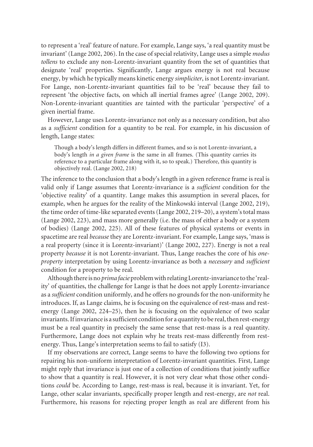to represent a 'real' feature of nature. For example, Lange says, 'a real quantity must be invariant' (Lange 2002, 206). In the case of special relativity, Lange uses a simple *modus tollens* to exclude any non-Lorentz-invariant quantity from the set of quantities that designate 'real' properties. Significantly, Lange argues energy is not real because energy, by which he typically means kinetic energy *simpliciter*, is not Lorentz-invariant. For Lange, non-Lorentz-invariant quantities fail to be 'real' because they fail to represent 'the objective facts, on which all inertial frames agree' (Lange 2002, 209). Non-Lorentz-invariant quantities are tainted with the particular 'perspective' of a given inertial frame.

However, Lange uses Lorentz-invariance not only as a necessary condition, but also as a *sufficient* condition for a quantity to be real. For example, in his discussion of length, Lange states:

Though a body's length differs in different frames, and so is not Lorentz-invariant, a body's length *in a given frame* is the same in all frames. (This quantity carries its reference to a particular frame along with it, so to speak.) Therefore, this quantity is objectively real. (Lange 2002, 218)

The inference to the conclusion that a body's length in a given reference frame is real is valid only if Lange assumes that Lorentz-invariance is a *sufficient* condition for the 'objective reality' of a quantity. Lange makes this assumption in several places, for example, when he argues for the reality of the Minkowski interval (Lange 2002, 219), the time order of time-like separated events (Lange 2002, 219–20), a system's total mass (Lange 2002, 223), and mass more generally (i.e. the mass of either a body or a system of bodies) (Lange 2002, 225). All of these features of physical systems or events in spacetime are real *because* they are Lorentz-invariant. For example, Lange says, 'mass is a real property (since it is Lorentz-invariant)' (Lange 2002, 227). Energy is not a real property *because* it is not Lorentz-invariant. Thus, Lange reaches the core of his *oneproperty* interpretation by using Lorentz-invariance as both a *necessary* and *sufficient*  condition for a property to be real.

Although there is no *prima facie* problem with relating Lorentz-invariance to the 'reality' of quantities, the challenge for Lange is that he does not apply Lorentz-invariance as a *sufficient* condition uniformly, and he offers no grounds for the non-uniformity he introduces. If, as Lange claims, he is focusing on the equivalence of rest-mass and restenergy (Lange 2002, 224–25), then he is focusing on the equivalence of two scalar invariants. If invariance is a sufficient condition for a quantity to be real, then rest-energy must be a real quantity in precisely the same sense that rest-mass is a real quantity. Furthermore, Lange does not explain why he treats rest-mass differently from restenergy. Thus, Lange's interpretation seems to fail to satisfy (I3).

If my observations are correct, Lange seems to have the following two options for repairing his non-uniform interpretation of Lorentz-invariant quantities. First, Lange might reply that invariance is just one of a collection of conditions that jointly suffice to show that a quantity is real. However, it is not very clear what those other conditions *could* be. According to Lange, rest-mass is real, because it is invariant. Yet, for Lange, other scalar invariants, specifically proper length and rest-energy, are *not* real. Furthermore, his reasons for rejecting proper length as real are different from his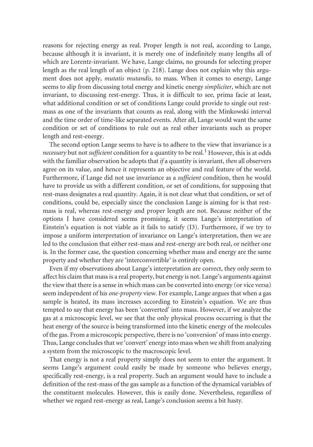reasons for rejecting energy as real. Proper length is not real, according to Lange, because although it is invariant, it is merely one of indefinitely many lengths all of which are Lorentz-invariant. We have, Lange claims, no grounds for selecting proper length as *the* real length of an object (p. 218). Lange does not explain why this argument does not apply, *mutatis mutandis*, to mass. When it comes to energy, Lange seems to slip from discussing total energy and kinetic energy *simpliciter*, which are not invariant, to discussing rest-energy. Thus, it is difficult to see, prima facie at least, what additional condition or set of conditions Lange could provide to single out restmass as one of the invariants that counts as real, along with the Minkowski interval and the time order of time-like separated events. After all, Lange would want the same condition or set of conditions to rule out as real other invariants such as proper length and rest-energy.

The second option Lange seems to have is to adhere to the view that invariance is a *necessary* but not *sufficient* condition for a quantity to be real.<sup>1</sup> However, this is at odds with the familiar observation he adopts that *if* a quantity is invariant, *then* all observers agree on its value, and hence it represents an objective and real feature of the world. Furthermore, if Lange did not use invariance as a *sufficient* condition, then he would have to provide us with a different condition, or set of conditions, for supposing that rest-mass designates a real quantity. Again, it is not clear what that condition, or set of conditions, could be, especially since the conclusion Lange is aiming for is that restmass is real, whereas rest-energy and proper length are not. Because neither of the options I have considered seems promising, it seems Lange's interpretation of Einstein's equation is not viable as it fails to satisfy (I3). Furthermore, if we try to impose a uniform interpretation of invariance on Lange's interpretation, then we are led to the conclusion that either rest-mass and rest-energy are both real, or neither one is. In the former case, the question concerning whether mass and energy are the same property and whether they are 'interconvertible' is entirely open.

Even if my observations about Lange's interpretation are correct, they only seem to affect his claim that mass is a real property, but energy is not. Lange's arguments against the view that there is a sense in which mass can be converted into energy (or vice versa) seem independent of his *one-property* view. For example, Lange argues that when a gas sample is heated, its mass increases according to Einstein's equation. We are thus tempted to say that energy has been 'converted' into mass. However, if we analyze the gas at a microscopic level, we see that the only physical process occurring is that the heat energy of the source is being transformed into the kinetic energy of the molecules of the gas. From a microscopic perspective, there is no 'conversion' of mass into energy. Thus, Lange concludes that *we* 'convert' energy into mass when we shift from analyzing a system from the microscopic to the macroscopic level.

That energy is not a real property simply does not seem to enter the argument. It seems Lange's argument could easily be made by someone who believes energy, specifically rest-energy, is a real property. Such an argument would have to include a definition of the rest-mass of the gas sample as a function of the dynamical variables of the constituent molecules. However, this is easily done. Nevertheless, regardless of whether we regard rest-energy as real, Lange's conclusion seems a bit hasty.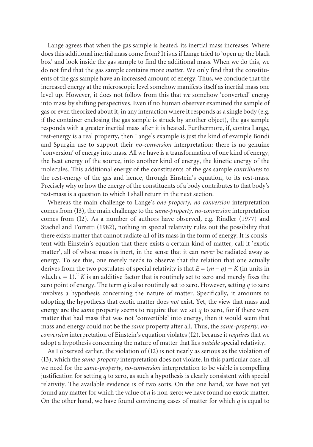Lange agrees that when the gas sample is heated, its inertial mass increases. Where does this additional inertial mass come from? It is as if Lange tried to 'open up the black box' and look inside the gas sample to find the additional mass. When we do this, we do not find that the gas sample contains more *matter*. We only find that the constituents of the gas sample have an increased amount of energy. Thus, we conclude that the increased energy at the microscopic level somehow manifests itself as inertial mass one level up. However, it does not follow from this that *we* somehow 'converted' energy into mass by shifting perspectives. Even if no human observer examined the sample of gas or even theorized about it, in any interaction where it responds as a single body (e.g. if the container enclosing the gas sample is struck by another object), the gas sample responds with a greater inertial mass after it is heated. Furthermore, if, contra Lange, rest-energy is a real property, then Lange's example is just the kind of example Bondi and Spurgin use to support their *no-conversion* interpretation: there is no genuine 'conversion' of energy into mass. All we have is a transformation of one kind of energy, the heat energy of the source, into another kind of energy, the kinetic energy of the molecules. This additional energy of the constituents of the gas sample *contributes* to the rest-energy of the gas and hence, through Einstein's equation, to its rest-mass. Precisely why or how the energy of the constituents of a body contributes to that body's rest-mass is a question to which I shall return in the next section.

derives from the two postulates of special relativity is that  $E = (m − q) + K$  (in units in which  $c = 1$ ).<sup>2</sup> *K* is an additive factor that is routinely set to zero and merely fixes the Whereas the main challenge to Lange's *one-property, no-conversion* interpretation comes from (I3), the main challenge to the *same-property, no-conversion* interpretation comes from (I2). As a number of authors have observed, e.g. Rindler (1977) and Stachel and Torretti (1982), nothing in special relativity rules out the possibility that there exists matter that cannot radiate all of its mass in the form of energy. It is consistent with Einstein's equation that there exists a certain kind of matter, call it 'exotic matter', all of whose mass is inert, in the sense that it can *never* be radiated away as energy. To see this, one merely needs to observe that the relation that one actually zero point of energy. The term *q* is also routinely set to zero. However, setting *q* to zero involves a hypothesis concerning the nature of matter. Specifically, it amounts to adopting the hypothesis that exotic matter does *not* exist. Yet, the view that mass and energy are the *same* property seems to require that we set *q* to zero, for if there were matter that had mass that was not 'convertible' into energy, then it would seem that mass and energy could not be the *same* property after all. Thus, the *same-property, noconversion* interpretation of Einstein's equation violates (I2), because it *requires* that we adopt a hypothesis concerning the nature of matter that lies *outside* special relativity.

As I observed earlier, the violation of (I2) is not nearly as serious as the violation of (I3), which the *same-property* interpretation does not violate. In this particular case, all we need for the *same-property*, *no-conversion* interpretation to be viable is compelling justification for setting *q* to zero, as such a hypothesis is clearly consistent with special relativity. The available evidence is of two sorts. On the one hand, we have not yet found any matter for which the value of *q* is non-zero; we have found no exotic matter. On the other hand, we have found convincing cases of matter for which *q* is equal to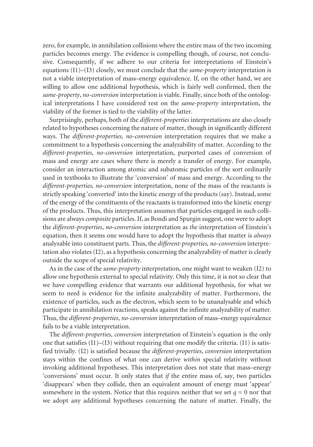zero, for example, in annihilation collisions where the entire mass of the two incoming particles becomes energy. The evidence is compelling though, of course, not conclusive. Consequently, if we adhere to our criteria for interpretations of Einstein's equations (I1)–(I3) closely, we must conclude that the *same-property* interpretation is not a viable interpretation of mass–energy equivalence. If, on the other hand, we are willing to allow one additional hypothesis, which is fairly well confirmed, then the *same-property*, *no-conversion* interpretation is viable. Finally, since both of the ontological interpretations I have considered rest on the *same-property* interpretation, the viability of the former is tied to the viability of the latter.

Surprisingly, perhaps, both of the *different-properties* interpretations are also closely related to hypotheses concerning the nature of matter, though in significantly different ways. The *different-properties, no-conversion* interpretation requires that we make a commitment to a hypothesis concerning the analyzability of matter. According to the *different-properties*, *no-conversion* interpretation, purported cases of conversion of mass and energy are cases where there is merely a transfer of energy. For example, consider an interaction among atomic and subatomic particles of the sort ordinarily used in textbooks to illustrate the 'conversion' of mass and energy. According to the *different-properties, no-conversion* interpretation, none of the mass of the reactants is strictly speaking 'converted' into the kinetic energy of the products (say). Instead, some of the energy of the constituents of the reactants is transformed into the kinetic energy of the products. Thus, this interpretation assumes that particles engaged in such collisions are always *composite* particles. If, as Bondi and Spurgin suggest, one were to adopt the *different-properties*, *no-conversion* interpretation as *the* interpretation of Einstein's equation, then it seems one would have to adopt the hypothesis that matter is *always*  analyzable into constituent parts. Thus, the *different-properties, no-conversion* interpretation also violates (I2), as a hypothesis concerning the analyzability of matter is clearly outside the scope of special relativity.

As in the case of the *same-property* interpretation, one might want to weaken (I2) to allow one hypothesis external to special relativity. Only this time, it is not so clear that we have compelling evidence that warrants our additional hypothesis, for what we seem to need is evidence for the infinite analyzability of matter. Furthermore, the existence of particles, such as the electron, which seem to be unanalysable and which participate in annihilation reactions, speaks against the infinite analyzability of matter. Thus, the *different-properties*, *no-conversion* interpretation of mass–energy equivalence fails to be a viable interpretation.

The *different-properties*, *conversion* interpretation of Einstein's equation is the only one that satisfies  $(11)$ – $(13)$  without requiring that one modify the criteria.  $(11)$  is satisfied trivially. (I2) is satisfied because the *different-properties*, *conversion* interpretation stays within the confines of what one can derive *within* special relativity without invoking additional hypotheses. This interpretation does not state that mass–energy 'conversions' must occur. It only states that *if* the entire mass of, say, two particles 'disappears' when they collide, then an equivalent amount of energy must 'appear' somewhere in the system. Notice that this requires neither that we set  $q = 0$  nor that we adopt any additional hypotheses concerning the nature of matter. Finally, the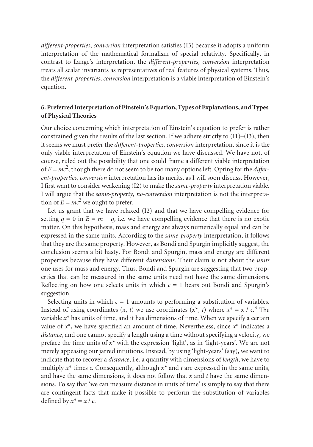*different-properties*, *conversion* interpretation satisfies (I3) because it adopts a uniform interpretation of the mathematical formalism of special relativity. Specifically, in contrast to Lange's interpretation, the *different-properties*, *conversion* interpretation treats all scalar invariants as representatives of real features of physical systems. Thus, the *different-properties*, *conversion* interpretation is a viable interpretation of Einstein's equation.

# **6. Preferred Interpretation of Einstein's Equation, Types of Explanations, and Types of Physical Theories**

Our choice concerning which interpretation of Einstein's equation to prefer is rather constrained given the results of the last section. If we adhere strictly to (I1)–(I3), then it seems we must prefer the *different-properties*, *conversion* interpretation, since it is the only viable interpretation of Einstein's equation we have discussed. We have not, of course, ruled out the possibility that one could frame a different viable interpretation of  $E = mc^2$ , though there do not seem to be too many options left. Opting for the *different-properties*, *conversion* interpretation has its merits, as I will soon discuss. However, I first want to consider weakening (I2) to make the *same-property* interpretation viable. I will argue that the *same-property*, *no-conversion* interpretation is not the interpretation of  $E = mc^2$  we ought to prefer.

setting  $q = 0$  in  $E = m - q$ , i.e. we have compelling evidence that there is no exotic Let us grant that we have relaxed (I2) and that we have compelling evidence for matter. On this hypothesis, mass and energy are always numerically equal and can be expressed in the same units. According to the *same-property* interpretation, it follows that they are the same property. However, as Bondi and Spurgin implicitly suggest, the conclusion seems a bit hasty. For Bondi and Spurgin, mass and energy are different properties because they have different *dimensions*. Their claim is not about the *units*  one uses for mass and energy. Thus, Bondi and Spurgin are suggesting that two properties that can be measured in the same units need not have the same dimensions. Reflecting on how one selects units in which  $c = 1$  bears out Bondi and Spurgin's suggestion.

Instead of using coordinates  $(x, t)$  we use coordinates  $(x^*, t)$  where  $x^* = x / c^3$ . The and have the same dimensions, it does not follow that *x* and *t* have the same dimen-Selecting units in which  $c = 1$  amounts to performing a substitution of variables. variable *x*\* has units of time, and it has dimensions of time. When we specify a certain value of  $x^*$ , we have specified an amount of time. Nevertheless, since  $x^*$  indicates a *distance*, and one cannot specify a length using a time without specifying a velocity, we preface the time units of *x*\* with the expression 'light', as in 'light-years'. We are not merely appeasing our jarred intuitions. Instead, by using 'light-years' (say), we want to indicate that to recover a *distance*, i.e. a quantity with dimensions of *length*, we have to multiply  $x^*$  times *c*. Consequently, although  $x^*$  and  $t$  are expressed in the same units, sions. To say that 'we can measure distance in units of time' is simply to say that there are contingent facts that make it possible to perform the substitution of variables defined by  $x^* = x / c$ .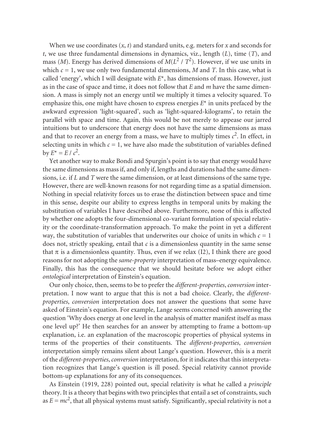When we use coordinates (*x*, *t*) and standard units, e.g. meters for *x* and seconds for *t*, we use three fundamental dimensions in dynamics, viz., length (*L*), time (*T*), and mass (*M*). Energy has derived dimensions of  $M(L^2 / T^2)$ . However, if we use units in which  $c = 1$ , we use only two fundamental dimensions, M and T. In this case, what is called 'energy', which I will designate with  $E^*$ , has dimensions of mass. However, just as in the case of space and time, it does not follow that *E* and *m* have the same dimension. A mass is simply not an energy until we multiply it times a velocity squared. To emphasize this, one might have chosen to express energies *E*\* in units prefaced by the awkward expression 'light-squared', such as 'light-squared-kilograms', to retain the parallel with space and time. Again, this would be not merely to appease our jarred intuitions but to underscore that energy does not have the same dimensions as mass and that to recover an energy from a mass, we have to multiply times  $c^2$ . In effect, in selecting units in which  $c = 1$ , we have also made the substitution of variables defined by  $E^* = E / c^2$ .

Yet another way to make Bondi and Spurgin's point is to say that energy would have the same dimensions as mass if, and only if, lengths and durations had the same dimensions, i.e. if *L* and *T* were the same dimension, or at least dimensions of the same type. However, there are well-known reasons for not regarding time as a spatial dimension. Nothing in special relativity forces us to erase the distinction between space and time in this sense, despite our ability to express lengths in temporal units by making the substitution of variables I have described above. Furthermore, none of this is affected by whether one adopts the four-dimensional co-variant formulation of special relativity or the coordinate-transformation approach. To make the point in yet a different way, the substitution of variables that underwrites our choice of units in which  $c = 1$ does not, strictly speaking, entail that *c* is a dimensionless quantity in the same sense that  $\pi$  is a dimensionless quantity. Thus, even if we relax (I2), I think there are good reasons for not adopting the *same-property* interpretation of mass–energy equivalence. Finally, this has the consequence that we should hesitate before we adopt either *ontological* interpretation of Einstein's equation.

Our only choice, then, seems to be to prefer the *different-properties*, *conversion* interpretation. I now want to argue that this is not a bad choice. Clearly, the *differentproperties*, *conversion* interpretation does not answer the questions that some have asked of Einstein's equation. For example, Lange seems concerned with answering the question 'Why does energy at one level in the analysis of matter manifest itself as mass one level up?' He then searches for an answer by attempting to frame a bottom-up explanation, i.e. an explanation of the macroscopic properties of physical systems in terms of the properties of their constituents. The *different-properties*, *conversion*  interpretation simply remains silent about Lange's question. However, this is a merit of the *different-properties*, *conversion* interpretation, for it indicates that this interpretation recognizes that Lange's question is ill posed. Special relativity cannot provide bottom-up explanations for any of its consequences.

As Einstein (1919, 228) pointed out, special relativity is what he called a *principle*  theory. It is a theory that begins with two principles that entail a set of constraints, such as  $E = mc^2$ , that all physical systems must satisfy. Significantly, special relativity is not a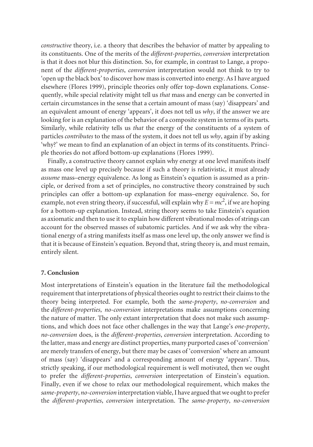*constructive* theory, i.e. a theory that describes the behavior of matter by appealing to its constituents. One of the merits of the *different-properties*, *conversion* interpretation is that it does not blur this distinction. So, for example, in contrast to Lange, a proponent of the *different-properties*, *conversion* interpretation would not think to try to 'open up the black box' to discover how mass is converted into energy. As I have argued elsewhere (Flores 1999), principle theories only offer top-down explanations. Consequently, while special relativity might tell us *that* mass and energy can be converted in certain circumstances in the sense that a certain amount of mass (say) 'disappears' and an equivalent amount of energy 'appears', it does not tell us *why*, if the answer we are looking for is an explanation of the behavior of a composite system in terms of its parts. Similarly, while relativity tells us *that* the energy of the constituents of a system of particles *contributes* to the mass of the system, it does not tell us *why*, again if by asking 'why?' we mean to find an explanation of an object in terms of its constituents. Principle theories do not afford bottom-up explanations (Flores 1999).

Finally, a constructive theory cannot explain why energy at one level manifests itself as mass one level up precisely because if such a theory is relativistic, it must already *assume* mass–energy equivalence. As long as Einstein's equation is assumed as a principle, or derived from a set of principles, no constructive theory constrained by such principles can offer a bottom-up explanation for mass–energy equivalence. So, for example, not even string theory, if successful, will explain why  $E = mc^2$ , if we are hoping for a bottom-up explanation. Instead, string theory seems to take Einstein's equation as axiomatic and then to use it to explain how different vibrational modes of strings can account for the observed masses of subatomic particles. And if we ask why the vibrational energy of a string manifests itself as mass one level up, the only answer we find is that it is because of Einstein's equation. Beyond that, string theory is, and must remain, entirely silent.

#### **7. Conclusion**

Most interpretations of Einstein's equation in the literature fail the methodological requirement that interpretations of physical theories ought to restrict their claims to the theory being interpreted. For example, both the *same-property*, *no-conversion* and the *different-properties*, *no-conversion* interpretations make assumptions concerning the nature of matter. The only extant interpretation that does not make such assumptions, and which does not face other challenges in the way that Lange's *one-property*, *no-conversion* does, is the *different-properties*, *conversion* interpretation. According to the latter, mass and energy are distinct properties, many purported cases of 'conversion' are merely transfers of energy, but there may be cases of 'conversion' where an amount of mass (say) 'disappears' and a corresponding amount of energy 'appears'. Thus, strictly speaking, if our methodological requirement is well motivated, then we ought to prefer the *different-properties*, *conversion* interpretation of Einstein's equation. Finally, even if we chose to relax our methodological requirement, which makes the *same-property*, *no-conversion* interpretation viable, I have argued that we ought to prefer the *different-properties*, *conversion* interpretation. The *same-property*, *no-conversion*